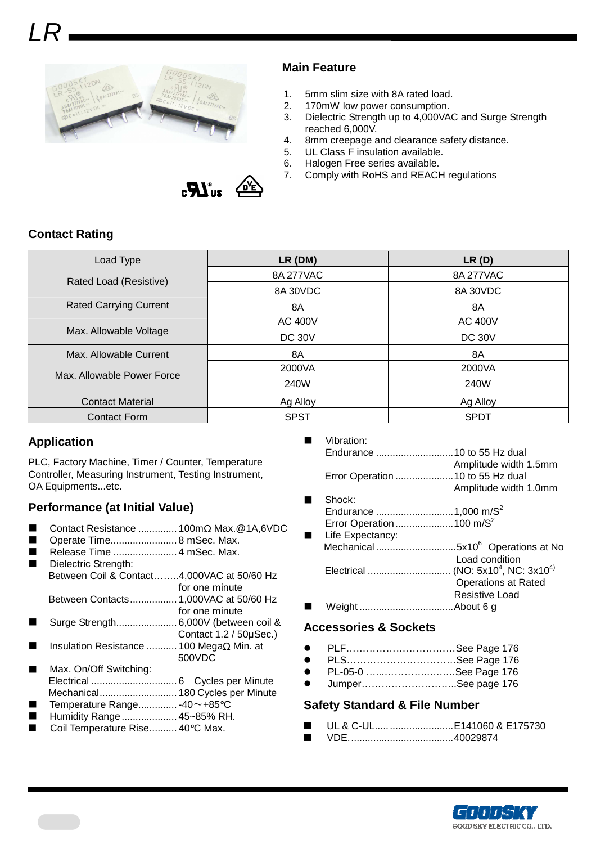

### **Main Feature**

- 1. 5mm slim size with 8A rated load.<br>2. 170mW low power consumption.
- 170mW low power consumption.
- 3. Dielectric Strength up to 4,000VAC and Surge Strength reached 6,000V.
- 4. 8mm creepage and clearance safety distance.
- 5. UL Class F insulation available.
- 6. Halogen Free series available.
- 7. Comply with RoHS and REACH regulations



| Load Type                     | $LR$ (DM)      | LR(D)          |  |  |
|-------------------------------|----------------|----------------|--|--|
| Rated Load (Resistive)        | 8A 277VAC      | 8A 277VAC      |  |  |
|                               | 8A 30VDC       | 8A 30VDC       |  |  |
| <b>Rated Carrying Current</b> | 8A             | 8A             |  |  |
|                               | <b>AC 400V</b> | <b>AC 400V</b> |  |  |
| Max. Allowable Voltage        | <b>DC 30V</b>  | <b>DC 30V</b>  |  |  |
| Max. Allowable Current        | 8A             | 8A             |  |  |
| Max. Allowable Power Force    | 2000VA         | 2000VA         |  |  |
|                               | 240W           | 240W           |  |  |
| <b>Contact Material</b>       | Ag Alloy       | Ag Alloy       |  |  |
| <b>Contact Form</b>           | <b>SPST</b>    | <b>SPDT</b>    |  |  |

### **Application**

PLC, Factory Machine, Timer / Counter, Temperature Controller, Measuring Instrument, Testing Instrument, OA Equipments...etc.

## **Performance (at Initial Value)**

- Contact Resistance .............. 100mΩ Max.@1A,6VDC
- Operate Time........................ 8 mSec. Max.
- Release Time ....................... 4 mSec. Max.
- Dielectric Strength: Between Coil & Contact……..4,000VAC at 50/60 Hz for one minute Between Contacts................. 1,000VAC at 50/60 Hz
- for one minute Surge Strength...................... 6,000V (between coil &
- Contact 1.2 / 50µSec.)
- Insulation Resistance ........... 100 MegaΩ Min. at 500VDC
- Max. On/Off Switching: Electrical ............................... 6 Cycles per Minute Mechanical............................ 180 Cycles per Minute
- Temperature Range.............. -40~+85°C
- Humidity Range.................... 45~85% RH. Coil Temperature Rise.......... 40°C Max.
- 
- Vibration: Endurance ............................10 to 55 Hz dual Amplitude width 1.5mm Error Operation .....................10 to 55 Hz dual Amplitude width 1.0mm Shock: Endurance ............................1,000 m/S<sup>2</sup>
- Error Operation..........................100 m/S<sup>2</sup> Life Expectancy: Mechanical .............................5x10<sup>6</sup>Operations at No Load condition Electrical .............................. (NO: 5x10<sup>4</sup> , NC: 3x104) Operations at Rated Resistive Load Weight ..................................About 6 g

#### **Accessories & Sockets**

- PLF……………………………See Page 176
- PLS.................................See Page 176
- PL-05-0 …...…………..….….See Page 176
- Jumper………………………..See page 176

#### **Safety Standard & File Number**

- UL & C-UL................................E141060 & E175730
- VDE......................................40029874





 $\mathbf{H}^{\circ}$